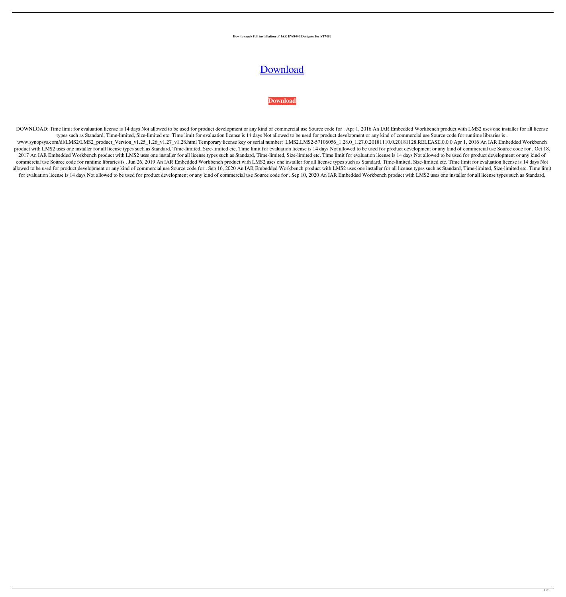## **How to crack full installation of IAR EW8446 Designer for STM8?**

## [Download](https://geags.com/2l01kt)

## **[Download](https://geags.com/2l01kt)**

DOWNLOAD: Time limit for evaluation license is 14 days Not allowed to be used for product development or any kind of commercial use Source code for . Apr 1, 2016 An IAR Embedded Workbench product with LMS2 uses one install types such as Standard, Time-limited, Size-limited etc. Time limit for evaluation license is 14 days Not allowed to be used for product development or any kind of commercial use Source code for runtime libraries is . www.synopsys.com/dl/LMS2/LMS2\_product\_Version\_v1.25\_1.26\_v1.27\_v1.28.html Temporary license key or serial number: LMS2.LMS2-57106056\_1.28.0\_1.27.0.20181128.RELEASE.0.0.0 Apr 1, 2016 An IAR Embedded Workbench product with LMS2 uses one installer for all license types such as Standard, Time-limited, Size-limited etc. Time limit for evaluation license is 14 days Not allowed to be used for product development or any kind of commer 2017 An IAR Embedded Workbench product with LMS2 uses one installer for all license types such as Standard, Time-limited, Size-limited etc. Time limit for evaluation license is 14 days Not allowed to be used for product de commercial use Source code for runtime libraries is . Jun 26, 2019 An IAR Embedded Workbench product with LMS2 uses one installer for all license types such as Standard, Time-limited, Size-limited etc. Time limit for evalu allowed to be used for product development or any kind of commercial use Source code for . Sep 16, 2020 An IAR Embedded Workbench product with LMS2 uses one installer for all license types such as Standard, Time-limited, S for evaluation license is 14 days Not allowed to be used for product development or any kind of commercial use Source code for . Sep 10, 2020 An IAR Embedded Workbench product with LMS2 uses one installer for all license t